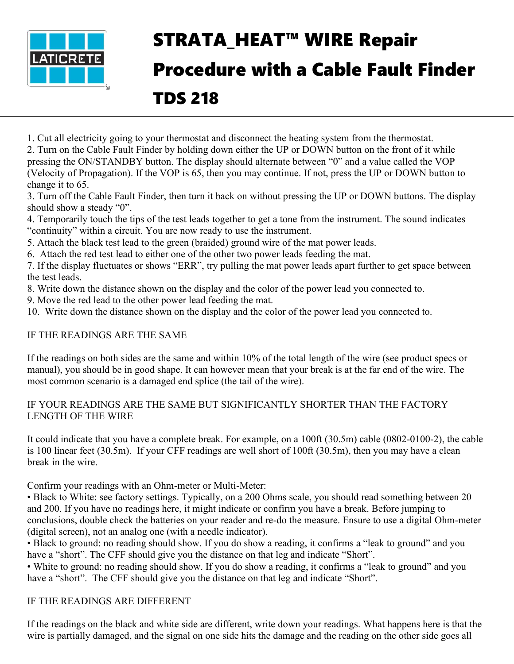

# STRATA HEAT™ WIRE Repair Procedure with a Cable Fault Finder TDS 218

1. Cut all electricity going to your thermostat and disconnect the heating system from the thermostat.

2. Turn on the Cable Fault Finder by holding down either the UP or DOWN button on the front of it while pressing the ON/STANDBY button. The display should alternate between "0" and a value called the VOP (Velocity of Propagation). If the VOP is 65, then you may continue. If not, press the UP or DOWN button to change it to 65.

3. Turn off the Cable Fault Finder, then turn it back on without pressing the UP or DOWN buttons. The display should show a steady "0".

4. Temporarily touch the tips of the test leads together to get a tone from the instrument. The sound indicates "continuity" within a circuit. You are now ready to use the instrument.

5. Attach the black test lead to the green (braided) ground wire of the mat power leads.

6. Attach the red test lead to either one of the other two power leads feeding the mat.

7. If the display fluctuates or shows "ERR", try pulling the mat power leads apart further to get space between the test leads.

8. Write down the distance shown on the display and the color of the power lead you connected to.

9. Move the red lead to the other power lead feeding the mat.

10. Write down the distance shown on the display and the color of the power lead you connected to.

### IF THE READINGS ARE THE SAME

If the readings on both sides are the same and within 10% of the total length of the wire (see product specs or manual), you should be in good shape. It can however mean that your break is at the far end of the wire. The most common scenario is a damaged end splice (the tail of the wire).

#### IF YOUR READINGS ARE THE SAME BUT SIGNIFICANTLY SHORTER THAN THE FACTORY LENGTH OF THE WIRE

It could indicate that you have a complete break. For example, on a 100ft (30.5m) cable (0802-0100-2), the cable is 100 linear feet (30.5m). If your CFF readings are well short of 100ft (30.5m), then you may have a clean break in the wire.

Confirm your readings with an Ohm-meter or Multi-Meter:

• Black to White: see factory settings. Typically, on a 200 Ohms scale, you should read something between 20 and 200. If you have no readings here, it might indicate or confirm you have a break. Before jumping to conclusions, double check the batteries on your reader and re-do the measure. Ensure to use a digital Ohm-meter (digital screen), not an analog one (with a needle indicator).

• Black to ground: no reading should show. If you do show a reading, it confirms a "leak to ground" and you have a "short". The CFF should give you the distance on that leg and indicate "Short".

• White to ground: no reading should show. If you do show a reading, it confirms a "leak to ground" and you have a "short". The CFF should give you the distance on that leg and indicate "Short".

### IF THE READINGS ARE DIFFERENT

If the readings on the black and white side are different, write down your readings. What happens here is that the wire is partially damaged, and the signal on one side hits the damage and the reading on the other side goes all